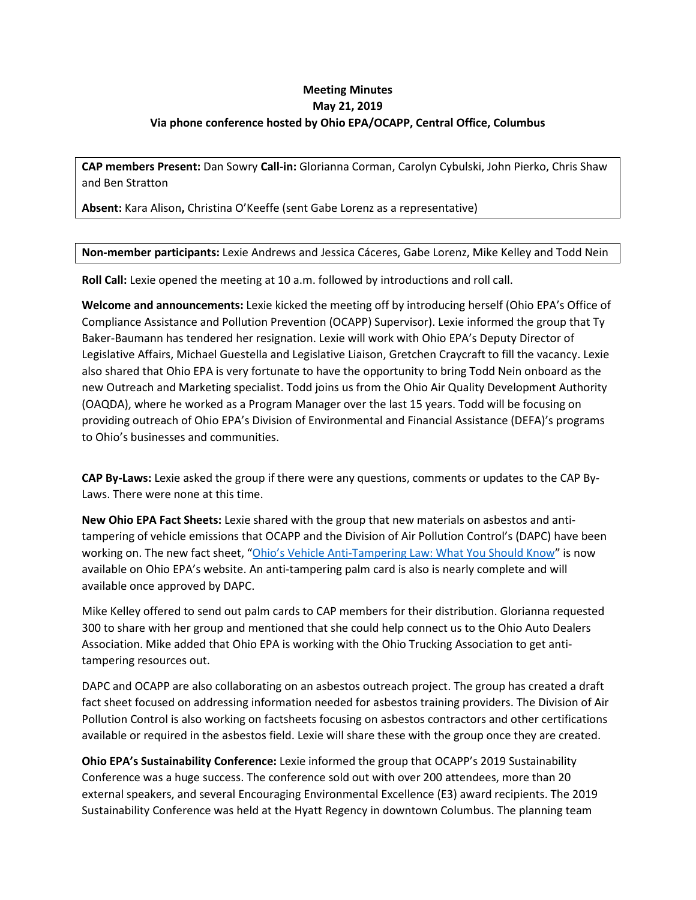## **Meeting Minutes May 21, 2019 Via phone conference hosted by Ohio EPA/OCAPP, Central Office, Columbus**

**CAP members Present:** Dan Sowry **Call-in:** Glorianna Corman, Carolyn Cybulski, John Pierko, Chris Shaw and Ben Stratton

**Absent:** Kara Alison**,** Christina O'Keeffe (sent Gabe Lorenz as a representative)

**Non-member participants:** Lexie Andrews and Jessica Cáceres, Gabe Lorenz, Mike Kelley and Todd Nein

**Roll Call:** Lexie opened the meeting at 10 a.m. followed by introductions and roll call.

**Welcome and announcements:** Lexie kicked the meeting off by introducing herself (Ohio EPA's Office of Compliance Assistance and Pollution Prevention (OCAPP) Supervisor). Lexie informed the group that Ty Baker-Baumann has tendered her resignation. Lexie will work with Ohio EPA's Deputy Director of Legislative Affairs, Michael Guestella and Legislative Liaison, Gretchen Craycraft to fill the vacancy. Lexie also shared that Ohio EPA is very fortunate to have the opportunity to bring Todd Nein onboard as the new Outreach and Marketing specialist. Todd joins us from the Ohio Air Quality Development Authority (OAQDA), where he worked as a Program Manager over the last 15 years. Todd will be focusing on providing outreach of Ohio EPA's Division of Environmental and Financial Assistance (DEFA)'s programs to Ohio's businesses and communities.

**CAP By-Laws:** Lexie asked the group if there were any questions, comments or updates to the CAP By-Laws. There were none at this time.

**New Ohio EPA Fact Sheets:** Lexie shared with the group that new materials on asbestos and antitampering of vehicle emissions that OCAPP and the Division of Air Pollution Control's (DAPC) have been working on. The new fact sheet, ["Ohio's Vehicle Anti-Tampering Law: What You Should Know"](https://epa.ohio.gov/portals/27/echeck/docs/tamper_law.pdf) is now available on Ohio EPA's website. An anti-tampering palm card is also is nearly complete and will available once approved by DAPC.

Mike Kelley offered to send out palm cards to CAP members for their distribution. Glorianna requested 300 to share with her group and mentioned that she could help connect us to the Ohio Auto Dealers Association. Mike added that Ohio EPA is working with the Ohio Trucking Association to get antitampering resources out.

DAPC and OCAPP are also collaborating on an asbestos outreach project. The group has created a draft fact sheet focused on addressing information needed for asbestos training providers. The Division of Air Pollution Control is also working on factsheets focusing on asbestos contractors and other certifications available or required in the asbestos field. Lexie will share these with the group once they are created.

**Ohio EPA's Sustainability Conference:** Lexie informed the group that OCAPP's 2019 Sustainability Conference was a huge success. The conference sold out with over 200 attendees, more than 20 external speakers, and several Encouraging Environmental Excellence (E3) award recipients. The 2019 Sustainability Conference was held at the Hyatt Regency in downtown Columbus. The planning team